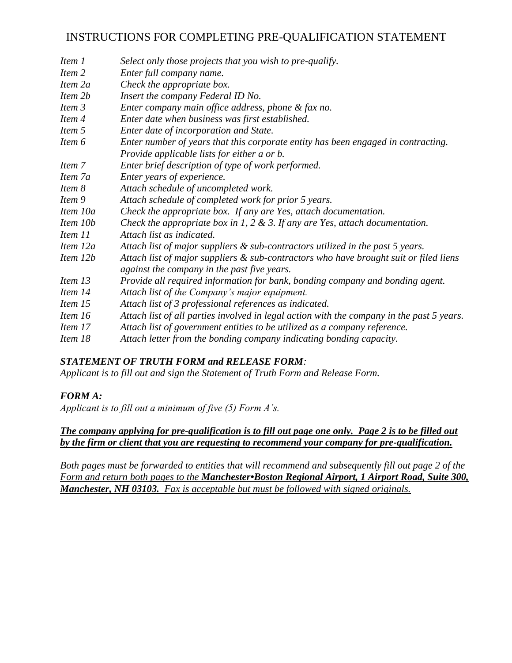# INSTRUCTIONS FOR COMPLETING PRE-QUALIFICATION STATEMENT

| Item 1   | Select only those projects that you wish to pre-qualify.                                                                             |
|----------|--------------------------------------------------------------------------------------------------------------------------------------|
| Item 2   | Enter full company name.                                                                                                             |
| Item 2a  | Check the appropriate box.                                                                                                           |
| Item 2b  | Insert the company Federal ID No.                                                                                                    |
| Item 3   | Enter company main office address, phone & fax no.                                                                                   |
| Item 4   | Enter date when business was first established.                                                                                      |
| Item 5   | Enter date of incorporation and State.                                                                                               |
| Item 6   | Enter number of years that this corporate entity has been engaged in contracting.                                                    |
|          | Provide applicable lists for either a or b.                                                                                          |
| Item 7   | Enter brief description of type of work performed.                                                                                   |
| Item 7a  | Enter years of experience.                                                                                                           |
| Item 8   | Attach schedule of uncompleted work.                                                                                                 |
| Item 9   | Attach schedule of completed work for prior 5 years.                                                                                 |
| Item 10a | Check the appropriate box. If any are Yes, attach documentation.                                                                     |
| Item 10b | Check the appropriate box in 1, 2 & 3. If any are Yes, attach documentation.                                                         |
| Item 11  | Attach list as indicated.                                                                                                            |
| Item 12a | Attach list of major suppliers & sub-contractors utilized in the past 5 years.                                                       |
| Item 12b | Attach list of major suppliers & sub-contractors who have brought suit or filed liens<br>against the company in the past five years. |
| Item 13  | Provide all required information for bank, bonding company and bonding agent.                                                        |
| Item 14  | Attach list of the Company's major equipment.                                                                                        |
| Item 15  | Attach list of 3 professional references as indicated.                                                                               |
| Item 16  | Attach list of all parties involved in legal action with the company in the past 5 years.                                            |
| Item 17  | Attach list of government entities to be utilized as a company reference.                                                            |
| Item 18  | Attach letter from the bonding company indicating bonding capacity.                                                                  |

## *STATEMENT OF TRUTH FORM and RELEASE FORM:*

*Applicant is to fill out and sign the Statement of Truth Form and Release Form.*

### *FORM A:*

*Applicant is to fill out a minimum of five (5) Form A's.* 

### *The company applying for pre-qualification is to fill out page one only. Page 2 is to be filled out by the firm or client that you are requesting to recommend your company for pre-qualification.*

*Both pages must be forwarded to entities that will recommend and subsequently fill out page 2 of the Form and return both pages to the Manchester•Boston Regional Airport, 1 Airport Road, Suite 300, Manchester, NH 03103. Fax is acceptable but must be followed with signed originals.*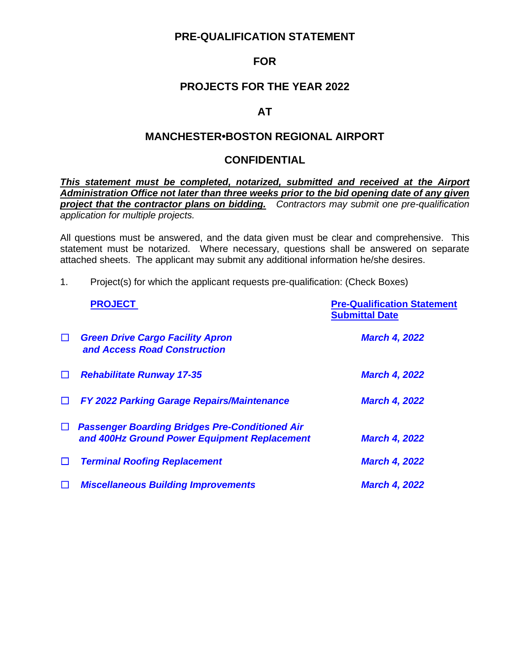## **PRE-QUALIFICATION STATEMENT**

## **FOR**

## **PROJECTS FOR THE YEAR 2022**

### **AT**

## **MANCHESTER•BOSTON REGIONAL AIRPORT**

## **CONFIDENTIAL**

*This statement must be completed, notarized, submitted and received at the Airport Administration Office not later than three weeks prior to the bid opening date of any given project that the contractor plans on bidding. Contractors may submit one pre-qualification application for multiple projects.*

All questions must be answered, and the data given must be clear and comprehensive. This statement must be notarized. Where necessary, questions shall be answered on separate attached sheets. The applicant may submit any additional information he/she desires.

1. Project(s) for which the applicant requests pre-qualification: (Check Boxes)

|        | <b>PROJECT</b>                                                                                        | <b>Pre-Qualification Statement</b><br><b>Submittal Date</b> |
|--------|-------------------------------------------------------------------------------------------------------|-------------------------------------------------------------|
| $\Box$ | <b>Green Drive Cargo Facility Apron</b><br>and Access Road Construction                               | <b>March 4, 2022</b>                                        |
| $\Box$ | <b>Rehabilitate Runway 17-35</b>                                                                      | <b>March 4, 2022</b>                                        |
| $\Box$ | <b>FY 2022 Parking Garage Repairs/Maintenance</b>                                                     | <b>March 4, 2022</b>                                        |
| $\Box$ | <b>Passenger Boarding Bridges Pre-Conditioned Air</b><br>and 400Hz Ground Power Equipment Replacement | <b>March 4, 2022</b>                                        |
| $\Box$ | <b>Terminal Roofing Replacement</b>                                                                   | <b>March 4, 2022</b>                                        |
| $\Box$ | <b>Miscellaneous Building Improvements</b>                                                            | <b>March 4, 2022</b>                                        |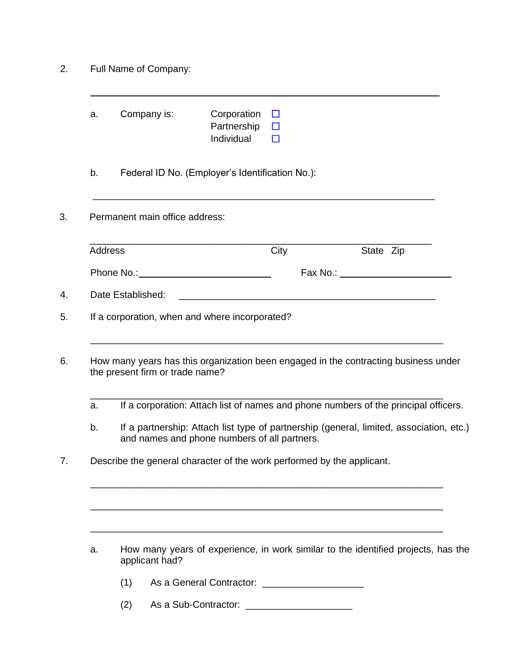| 2. | Full Name of Company: |
|----|-----------------------|
|----|-----------------------|

|                | Company is:                                                                                                                                                                                                                    | Corporation<br>Partnership<br>Individual                                                                             | Ш<br>$\Box$<br>П |                                                                                                                                                                                                                                                                     |
|----------------|--------------------------------------------------------------------------------------------------------------------------------------------------------------------------------------------------------------------------------|----------------------------------------------------------------------------------------------------------------------|------------------|---------------------------------------------------------------------------------------------------------------------------------------------------------------------------------------------------------------------------------------------------------------------|
| b.             |                                                                                                                                                                                                                                | Federal ID No. (Employer's Identification No.):                                                                      |                  |                                                                                                                                                                                                                                                                     |
|                | Permanent main office address:                                                                                                                                                                                                 |                                                                                                                      |                  |                                                                                                                                                                                                                                                                     |
| <b>Address</b> |                                                                                                                                                                                                                                |                                                                                                                      | City             | State Zip                                                                                                                                                                                                                                                           |
|                | Phone No.: Note that the set of the set of the set of the set of the set of the set of the set of the set of the set of the set of the set of the set of the set of the set of the set of the set of the set of the set of the |                                                                                                                      |                  |                                                                                                                                                                                                                                                                     |
|                | Date Established:                                                                                                                                                                                                              | <u> 1980 - Jan Sterling von de Sterling von de Sterling von de Sterling von de Sterling von de Sterling von de S</u> |                  |                                                                                                                                                                                                                                                                     |
|                | If a corporation, when and where incorporated?                                                                                                                                                                                 |                                                                                                                      |                  |                                                                                                                                                                                                                                                                     |
|                | the present firm or trade name?                                                                                                                                                                                                |                                                                                                                      |                  |                                                                                                                                                                                                                                                                     |
|                |                                                                                                                                                                                                                                |                                                                                                                      |                  | How many years has this organization been engaged in the contracting business under                                                                                                                                                                                 |
| a.<br>b.       |                                                                                                                                                                                                                                | and names and phone numbers of all partners.                                                                         |                  |                                                                                                                                                                                                                                                                     |
|                | Describe the general character of the work performed by the applicant.                                                                                                                                                         |                                                                                                                      |                  |                                                                                                                                                                                                                                                                     |
| a.             |                                                                                                                                                                                                                                |                                                                                                                      |                  |                                                                                                                                                                                                                                                                     |
|                | applicant had?<br>(1)                                                                                                                                                                                                          |                                                                                                                      |                  | If a corporation: Attach list of names and phone numbers of the principal officers.<br>If a partnership: Attach list type of partnership (general, limited, association, etc.)<br>How many years of experience, in work similar to the identified projects, has the |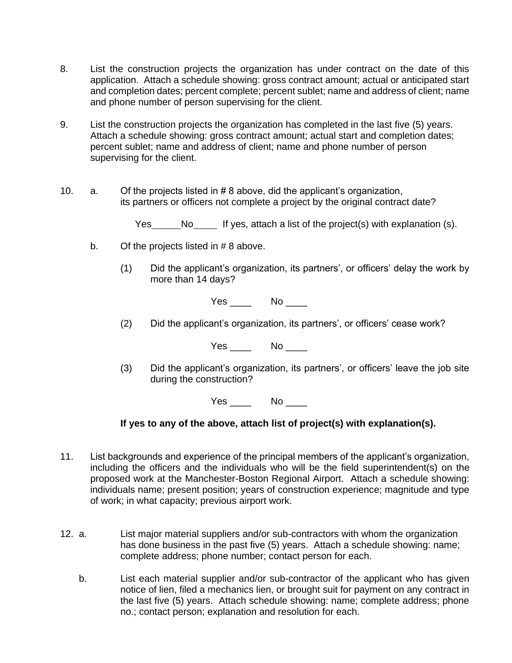- 8. List the construction projects the organization has under contract on the date of this application. Attach a schedule showing: gross contract amount; actual or anticipated start and completion dates; percent complete; percent sublet; name and address of client; name and phone number of person supervising for the client.
- 9. List the construction projects the organization has completed in the last five (5) years. Attach a schedule showing: gross contract amount; actual start and completion dates; percent sublet; name and address of client; name and phone number of person supervising for the client.
- 10. a. Of the projects listed in # 8 above, did the applicant's organization, its partners or officers not complete a project by the original contract date?

Yes No If yes, attach a list of the project(s) with explanation (s).

- b. Of the projects listed in # 8 above.
	- (1) Did the applicant's organization, its partners', or officers' delay the work by more than 14 days?

Yes \_\_\_\_\_\_ No \_\_\_\_\_

(2) Did the applicant's organization, its partners', or officers' cease work?

Yes No

(3) Did the applicant's organization, its partners', or officers' leave the job site during the construction?

Yes \_\_\_\_ No \_\_\_\_

**If yes to any of the above, attach list of project(s) with explanation(s).**

- 11. List backgrounds and experience of the principal members of the applicant's organization, including the officers and the individuals who will be the field superintendent(s) on the proposed work at the Manchester-Boston Regional Airport. Attach a schedule showing: individuals name; present position; years of construction experience; magnitude and type of work; in what capacity; previous airport work.
- 12. a. List major material suppliers and/or sub-contractors with whom the organization has done business in the past five (5) years. Attach a schedule showing: name; complete address; phone number; contact person for each.
	- b. List each material supplier and/or sub-contractor of the applicant who has given notice of lien, filed a mechanics lien, or brought suit for payment on any contract in the last five (5) years. Attach schedule showing: name; complete address; phone no.; contact person; explanation and resolution for each.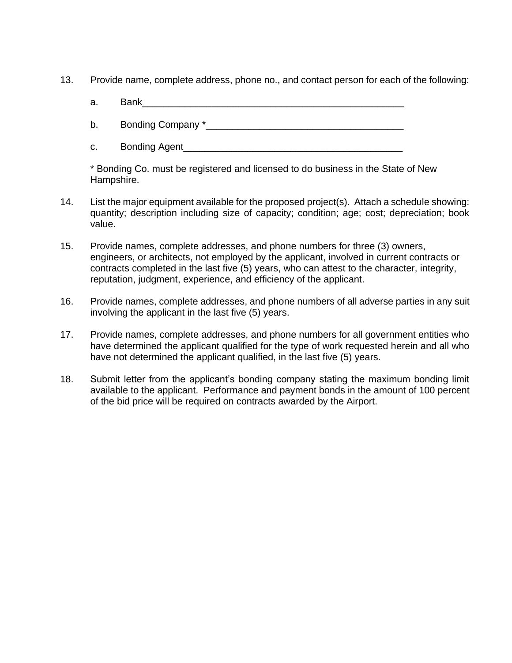- 13. Provide name, complete address, phone no., and contact person for each of the following:
	- a. Bank\_\_\_\_\_\_\_\_\_\_\_\_\_\_\_\_\_\_\_\_\_\_\_\_\_\_\_\_\_\_\_\_\_\_\_\_\_\_\_\_\_\_\_\_\_\_\_\_\_
	- b. Bonding Company \*\_\_\_\_\_\_\_\_\_\_\_\_\_\_\_\_\_\_\_\_\_\_\_\_\_\_\_\_\_\_\_\_\_\_\_\_\_
	- c. Bonding Agent\_\_\_\_\_\_\_\_\_\_\_\_\_\_\_\_\_\_\_\_\_\_\_\_\_\_\_\_\_\_\_\_\_\_\_\_\_\_\_\_\_

\* Bonding Co. must be registered and licensed to do business in the State of New Hampshire.

- 14. List the major equipment available for the proposed project(s). Attach a schedule showing: quantity; description including size of capacity; condition; age; cost; depreciation; book value.
- 15. Provide names, complete addresses, and phone numbers for three (3) owners, engineers, or architects, not employed by the applicant, involved in current contracts or contracts completed in the last five (5) years, who can attest to the character, integrity, reputation, judgment, experience, and efficiency of the applicant.
- 16. Provide names, complete addresses, and phone numbers of all adverse parties in any suit involving the applicant in the last five (5) years.
- 17. Provide names, complete addresses, and phone numbers for all government entities who have determined the applicant qualified for the type of work requested herein and all who have not determined the applicant qualified, in the last five (5) years.
- 18. Submit letter from the applicant's bonding company stating the maximum bonding limit available to the applicant. Performance and payment bonds in the amount of 100 percent of the bid price will be required on contracts awarded by the Airport.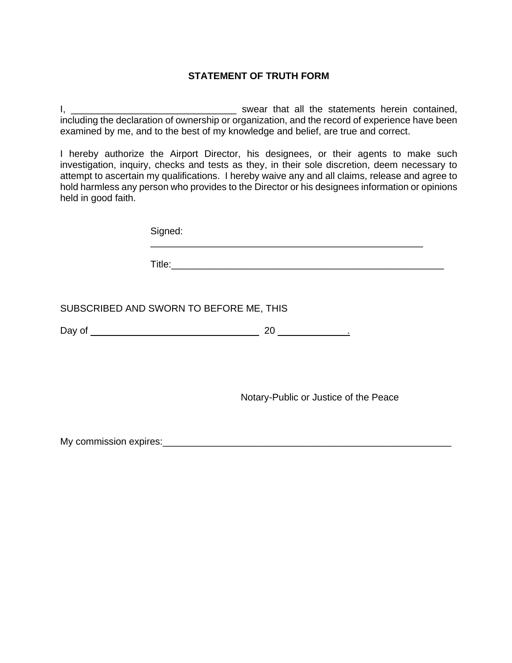## **STATEMENT OF TRUTH FORM**

I, \_\_\_\_\_\_\_\_\_\_\_\_\_\_\_\_\_\_\_\_\_\_\_\_\_\_\_\_\_\_\_ swear that all the statements herein contained, including the declaration of ownership or organization, and the record of experience have been examined by me, and to the best of my knowledge and belief, are true and correct.

I hereby authorize the Airport Director, his designees, or their agents to make such investigation, inquiry, checks and tests as they, in their sole discretion, deem necessary to attempt to ascertain my qualifications. I hereby waive any and all claims, release and agree to hold harmless any person who provides to the Director or his designees information or opinions held in good faith.

| Signed:                                                                   |
|---------------------------------------------------------------------------|
|                                                                           |
| SUBSCRIBED AND SWORN TO BEFORE ME, THIS                                   |
|                                                                           |
| Notary-Public or Justice of the Peace                                     |
| My commission expires: Management Communication of My commission expires: |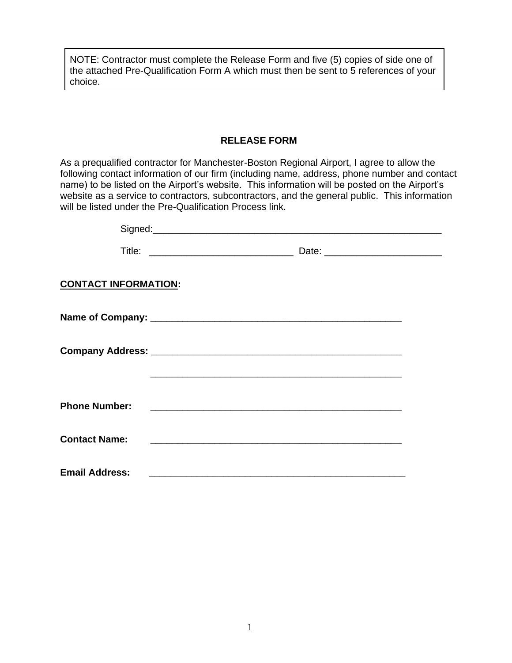NOTE: Contractor must complete the Release Form and five (5) copies of side one of the attached Pre-Qualification Form A which must then be sent to 5 references of your choice.

### **RELEASE FORM**

As a prequalified contractor for Manchester-Boston Regional Airport, I agree to allow the following contact information of our firm (including name, address, phone number and contact name) to be listed on the Airport's website. This information will be posted on the Airport's website as a service to contractors, subcontractors, and the general public. This information will be listed under the Pre-Qualification Process link.

|                             | Signed: Signed: Signed: Signed: Signed: Signed: Signed: Signed: Signed: Signed: Signed: Signed: Signed: Signed: Signed: Signed: Signed: Signed: Signed: Signed: Signed: Signed: Signed: Signed: Signed: Signed: Signed: Signed       |  |
|-----------------------------|--------------------------------------------------------------------------------------------------------------------------------------------------------------------------------------------------------------------------------------|--|
|                             |                                                                                                                                                                                                                                      |  |
| <b>CONTACT INFORMATION:</b> |                                                                                                                                                                                                                                      |  |
|                             |                                                                                                                                                                                                                                      |  |
|                             |                                                                                                                                                                                                                                      |  |
|                             |                                                                                                                                                                                                                                      |  |
| <b>Phone Number:</b>        |                                                                                                                                                                                                                                      |  |
| <b>Contact Name:</b>        | <u>and the control of the control of the control of the control of the control of the control of the control of the control of the control of the control of the control of the control of the control of the control of the con</u> |  |
| <b>Email Address:</b>       |                                                                                                                                                                                                                                      |  |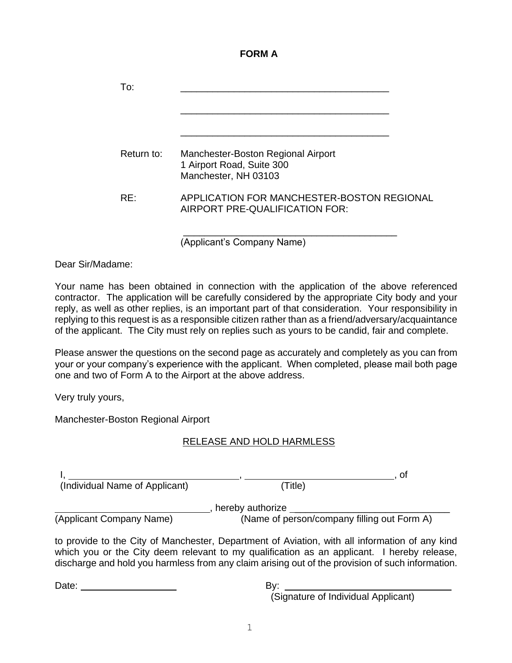#### **FORM A**

| To:        |                                                                                         |
|------------|-----------------------------------------------------------------------------------------|
| Return to: | Manchester-Boston Regional Airport<br>1 Airport Road, Suite 300<br>Manchester, NH 03103 |
| RF:        | APPLICATION FOR MANCHESTER-BOSTON REGIONAL<br>AIRPORT PRE-QUALIFICATION FOR:            |

(Applicant's Company Name)

Dear Sir/Madame:

Your name has been obtained in connection with the application of the above referenced contractor. The application will be carefully considered by the appropriate City body and your reply, as well as other replies, is an important part of that consideration. Your responsibility in replying to this request is as a responsible citizen rather than as a friend/adversary/acquaintance of the applicant. The City must rely on replies such as yours to be candid, fair and complete.

Please answer the questions on the second page as accurately and completely as you can from your or your company's experience with the applicant. When completed, please mail both page one and two of Form A to the Airport at the above address.

Very truly yours,

Manchester-Boston Regional Airport

#### RELEASE AND HOLD HARMLESS

|                                |                                             | Οl |  |  |
|--------------------------------|---------------------------------------------|----|--|--|
| (Individual Name of Applicant) | (Title)                                     |    |  |  |
| hereby authorize               |                                             |    |  |  |
| (Applicant Company Name)       | (Name of person/company filling out Form A) |    |  |  |

to provide to the City of Manchester, Department of Aviation, with all information of any kind which you or the City deem relevant to my qualification as an applicant. I hereby release, discharge and hold you harmless from any claim arising out of the provision of such information.

Date: By:

(Signature of Individual Applicant)